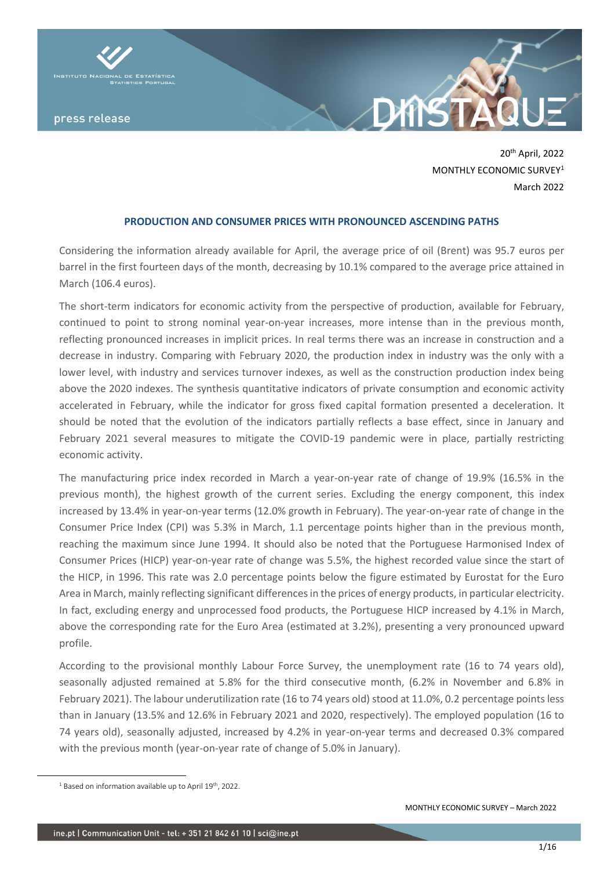

20th April, 2022 MONTHLY ECONOMIC SURVEY<sup>1</sup> March 2022

# **PRODUCTION AND CONSUMER PRICES WITH PRONOUNCED ASCENDING PATHS**

Considering the information already available for April, the average price of oil (Brent) was 95.7 euros per barrel in the first fourteen days of the month, decreasing by 10.1% compared to the average price attained in March (106.4 euros).

The short-term indicators for economic activity from the perspective of production, available for February, continued to point to strong nominal year-on-year increases, more intense than in the previous month, reflecting pronounced increases in implicit prices. In real terms there was an increase in construction and a decrease in industry. Comparing with February 2020, the production index in industry was the only with a lower level, with industry and services turnover indexes, as well as the construction production index being above the 2020 indexes. The synthesis quantitative indicators of private consumption and economic activity accelerated in February, while the indicator for gross fixed capital formation presented a deceleration. It should be noted that the evolution of the indicators partially reflects a base effect, since in January and February 2021 several measures to mitigate the COVID-19 pandemic were in place, partially restricting economic activity.

The manufacturing price index recorded in March a year-on-year rate of change of 19.9% (16.5% in the previous month), the highest growth of the current series. Excluding the energy component, this index increased by 13.4% in year-on-year terms (12.0% growth in February). The year-on-year rate of change in the Consumer Price Index (CPI) was 5.3% in March, 1.1 percentage points higher than in the previous month, reaching the maximum since June 1994. It should also be noted that the Portuguese Harmonised Index of Consumer Prices (HICP) year-on-year rate of change was 5.5%, the highest recorded value since the start of the HICP, in 1996. This rate was 2.0 percentage points below the figure estimated by Eurostat for the Euro Area in March, mainly reflecting significant differences in the prices of energy products, in particular electricity. In fact, excluding energy and unprocessed food products, the Portuguese HICP increased by 4.1% in March, above the corresponding rate for the Euro Area (estimated at 3.2%), presenting a very pronounced upward profile.

According to the provisional monthly Labour Force Survey, the unemployment rate (16 to 74 years old), seasonally adjusted remained at 5.8% for the third consecutive month, (6.2% in November and 6.8% in February 2021). The labour underutilization rate (16 to 74 years old) stood at 11.0%, 0.2 percentage points less than in January (13.5% and 12.6% in February 2021 and 2020, respectively). The employed population (16 to 74 years old), seasonally adjusted, increased by 4.2% in year-on-year terms and decreased 0.3% compared with the previous month (year-on-year rate of change of 5.0% in January).

<sup>&</sup>lt;sup>1</sup> Based on information available up to April 19<sup>th</sup>, 2022.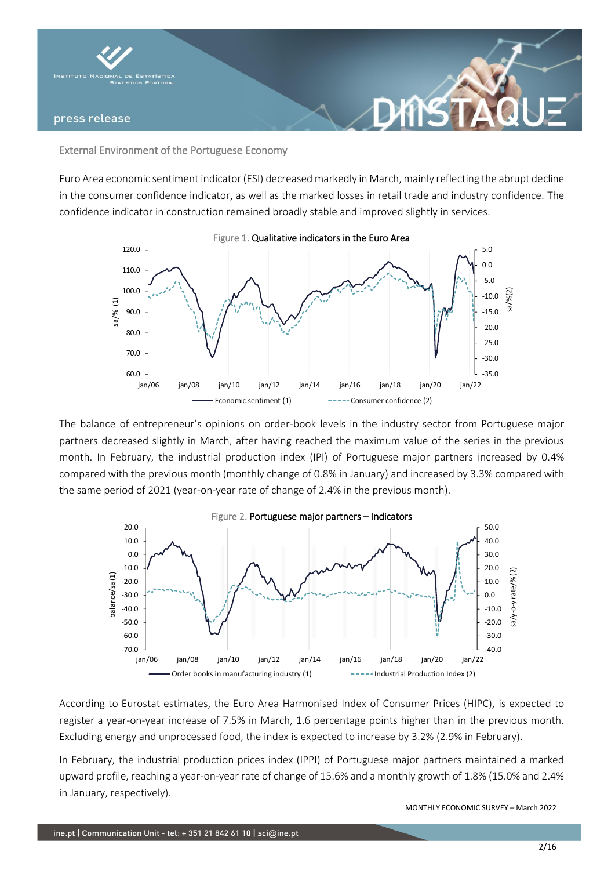

External Environment of the Portuguese Economy

Euro Area economic sentiment indicator (ESI) decreased markedly in March, mainly reflecting the abrupt decline in the consumer confidence indicator, as well as the marked losses in retail trade and industry confidence. The confidence indicator in construction remained broadly stable and improved slightly in services.

DANS



The balance of entrepreneur's opinions on order-book levels in the industry sector from Portuguese major partners decreased slightly in March, after having reached the maximum value of the series in the previous month. In February, the industrial production index (IPI) of Portuguese major partners increased by 0.4% compared with the previous month (monthly change of 0.8% in January) and increased by 3.3% compared with the same period of 2021 (year-on-year rate of change of 2.4% in the previous month).



According to Eurostat estimates, the Euro Area Harmonised Index of Consumer Prices (HIPC), is expected to register a year-on-year increase of 7.5% in March, 1.6 percentage points higher than in the previous month. Excluding energy and unprocessed food, the index is expected to increase by 3.2% (2.9% in February).

In February, the industrial production prices index (IPPI) of Portuguese major partners maintained a marked upward profile, reaching a year-on-year rate of change of 15.6% and a monthly growth of 1.8% (15.0% and 2.4% in January, respectively).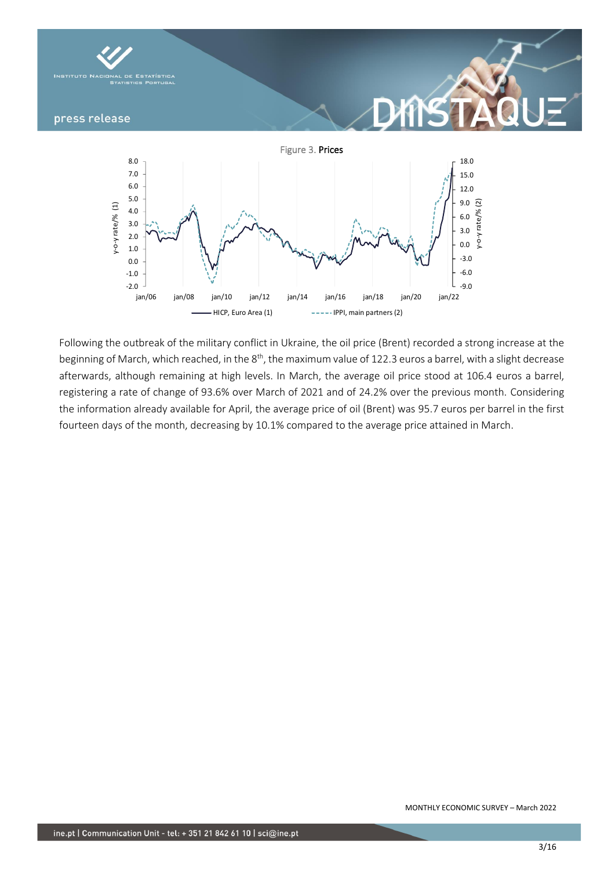

Following the outbreak of the military conflict in Ukraine, the oil price (Brent) recorded a strong increase at the beginning of March, which reached, in the 8<sup>th</sup>, the maximum value of 122.3 euros a barrel, with a slight decrease afterwards, although remaining at high levels. In March, the average oil price stood at 106.4 euros a barrel, registering a rate of change of 93.6% over March of 2021 and of 24.2% over the previous month. Considering the information already available for April, the average price of oil (Brent) was 95.7 euros per barrel in the first fourteen days of the month, decreasing by 10.1% compared to the average price attained in March.

jan/06 jan/08 jan/10 jan/12 jan/14 jan/16 jan/18 jan/20 jan/22

HICP, Euro Area (1) **IPPI, main partners (2)**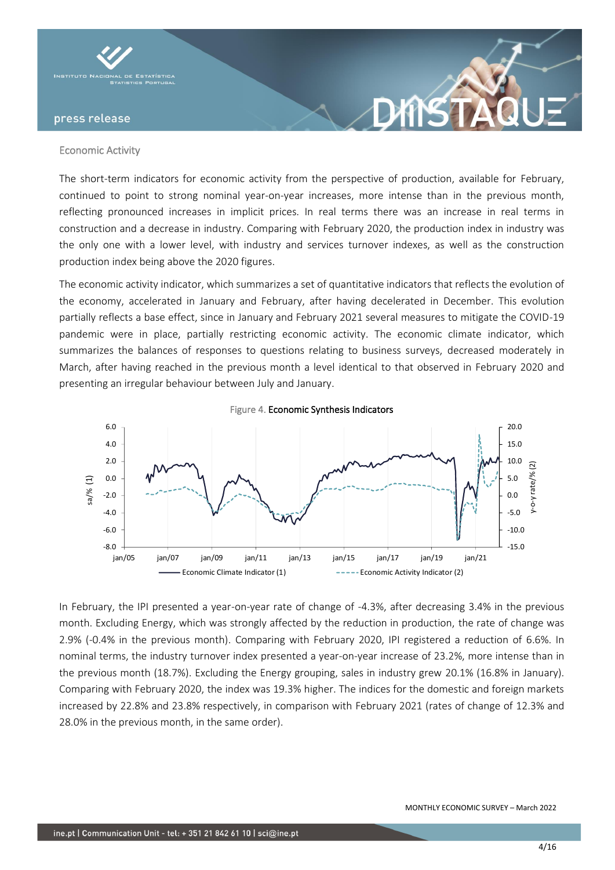

#### Economic Activity

The short-term indicators for economic activity from the perspective of production, available for February, continued to point to strong nominal year-on-year increases, more intense than in the previous month, reflecting pronounced increases in implicit prices. In real terms there was an increase in real terms in construction and a decrease in industry. Comparing with February 2020, the production index in industry was the only one with a lower level, with industry and services turnover indexes, as well as the construction production index being above the 2020 figures.

**DANS** 

The economic activity indicator, which summarizes a set of quantitative indicators that reflects the evolution of the economy, accelerated in January and February, after having decelerated in December. This evolution partially reflects a base effect, since in January and February 2021 several measures to mitigate the COVID-19 pandemic were in place, partially restricting economic activity. The economic climate indicator, which summarizes the balances of responses to questions relating to business surveys, decreased moderately in March, after having reached in the previous month a level identical to that observed in February 2020 and presenting an irregular behaviour between July and January.



In February, the IPI presented a year-on-year rate of change of -4.3%, after decreasing 3.4% in the previous month. Excluding Energy, which was strongly affected by the reduction in production, the rate of change was 2.9% (-0.4% in the previous month). Comparing with February 2020, IPI registered a reduction of 6.6%. In nominal terms, the industry turnover index presented a year-on-year increase of 23.2%, more intense than in the previous month (18.7%). Excluding the Energy grouping, sales in industry grew 20.1% (16.8% in January). Comparing with February 2020, the index was 19.3% higher. The indices for the domestic and foreign markets increased by 22.8% and 23.8% respectively, in comparison with February 2021 (rates of change of 12.3% and 28.0% in the previous month, in the same order).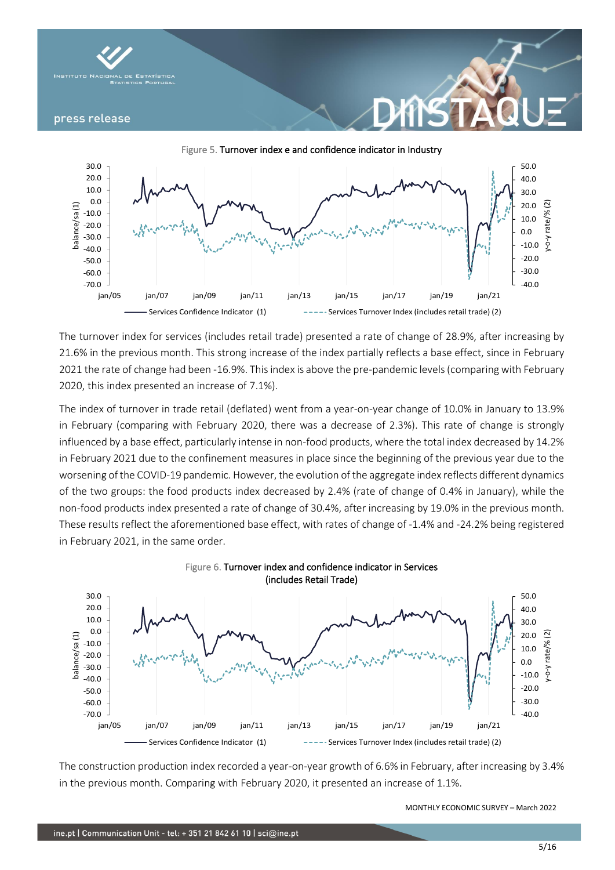



The turnover index for services (includes retail trade) presented a rate of change of 28.9%, after increasing by 21.6% in the previous month. This strong increase of the index partially reflects a base effect, since in February 2021 the rate of change had been -16.9%. This index is above the pre-pandemic levels (comparing with February 2020, this index presented an increase of 7.1%).

The index of turnover in trade retail (deflated) went from a year-on-year change of 10.0% in January to 13.9% in February (comparing with February 2020, there was a decrease of 2.3%). This rate of change is strongly influenced by a base effect, particularly intense in non-food products, where the total index decreased by 14.2% in February 2021 due to the confinement measures in place since the beginning of the previous year due to the worsening of the COVID-19 pandemic. However, the evolution of the aggregate index reflects different dynamics of the two groups: the food products index decreased by 2.4% (rate of change of 0.4% in January), while the non-food products index presented a rate of change of 30.4%, after increasing by 19.0% in the previous month. These results reflect the aforementioned base effect, with rates of change of -1.4% and -24.2% being registered in February 2021, in the same order.



The construction production index recorded a year-on-year growth of 6.6% in February, after increasing by 3.4% in the previous month. Comparing with February 2020, it presented an increase of 1.1%.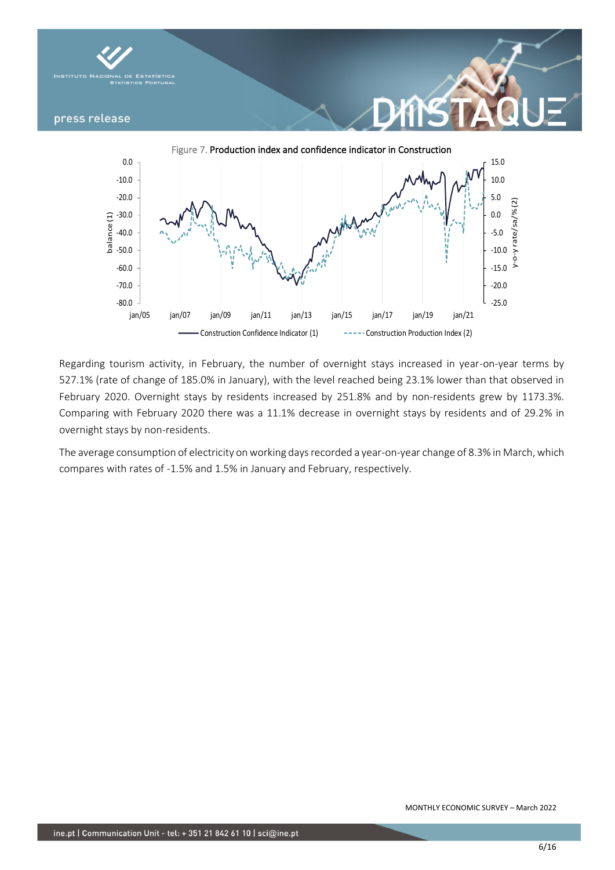



Regarding tourism activity, in February, the number of overnight stays increased in year-on-year terms by 527.1% (rate of change of 185.0% in January), with the level reached being 23.1% lower than that observed in February 2020. Overnight stays by residents increased by 251.8% and by non-residents grew by 1173.3%. Comparing with February 2020 there was a 11.1% decrease in overnight stays by residents and of 29.2% in overnight stays by non-residents.

The average consumption of electricity on working days recorded a year-on-year change of 8.3% in March, which compares with rates of -1.5% and 1.5% in January and February, respectively.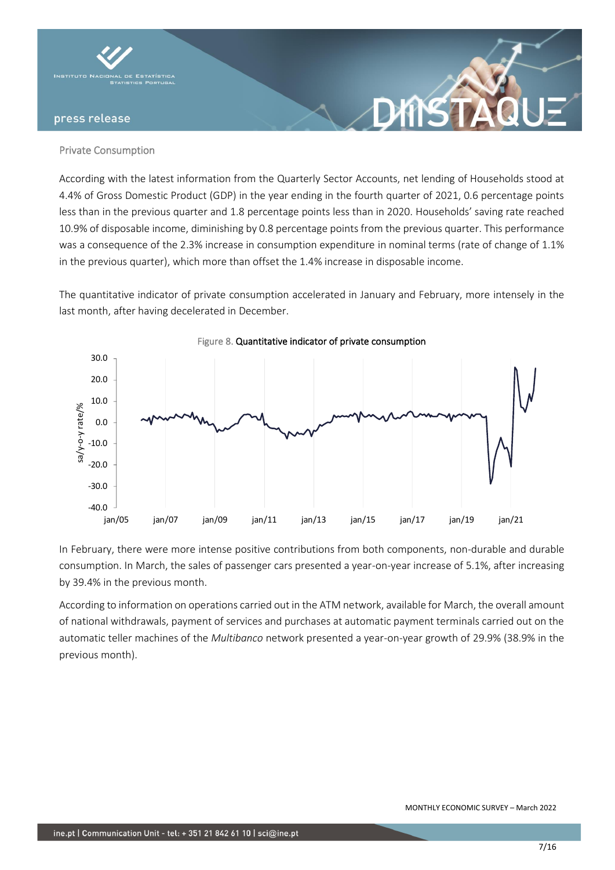

### Private Consumption

According with the latest information from the Quarterly Sector Accounts, net lending of Households stood at 4.4% of Gross Domestic Product (GDP) in the year ending in the fourth quarter of 2021, 0.6 percentage points less than in the previous quarter and 1.8 percentage points less than in 2020. Households' saving rate reached 10.9% of disposable income, diminishing by 0.8 percentage points from the previous quarter. This performance was a consequence of the 2.3% increase in consumption expenditure in nominal terms (rate of change of 1.1% in the previous quarter), which more than offset the 1.4% increase in disposable income.

The quantitative indicator of private consumption accelerated in January and February, more intensely in the last month, after having decelerated in December.



In February, there were more intense positive contributions from both components, non-durable and durable consumption. In March, the sales of passenger cars presented a year-on-year increase of 5.1%, after increasing by 39.4% in the previous month.

According to information on operations carried out in the ATM network, available for March, the overall amount of national withdrawals, payment of services and purchases at automatic payment terminals carried out on the automatic teller machines of the *Multibanco* network presented a year-on-year growth of 29.9% (38.9% in the previous month).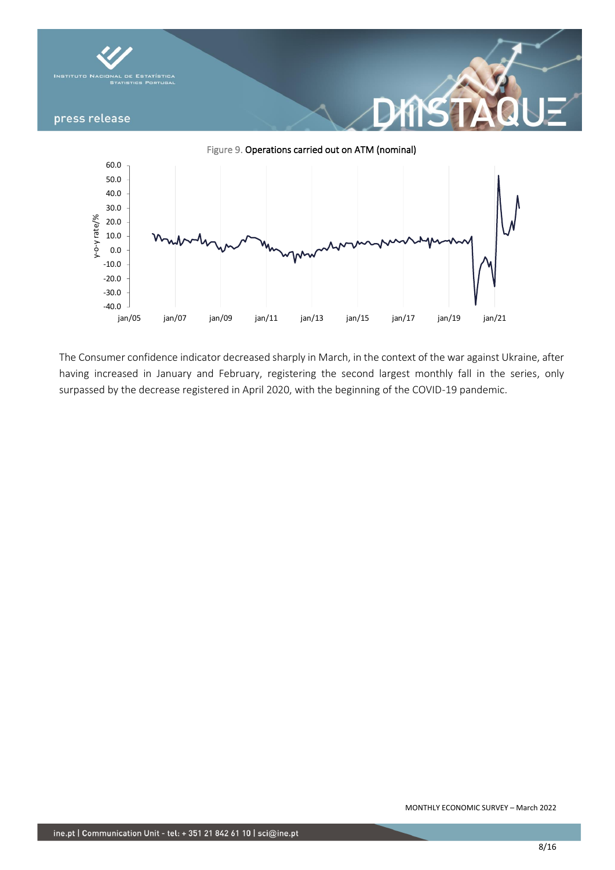

The Consumer confidence indicator decreased sharply in March, in the context of the war against Ukraine, after having increased in January and February, registering the second largest monthly fall in the series, only surpassed by the decrease registered in April 2020, with the beginning of the COVID-19 pandemic.

jan/05 jan/07 jan/09 jan/11 jan/13 jan/15 jan/17 jan/19 jan/21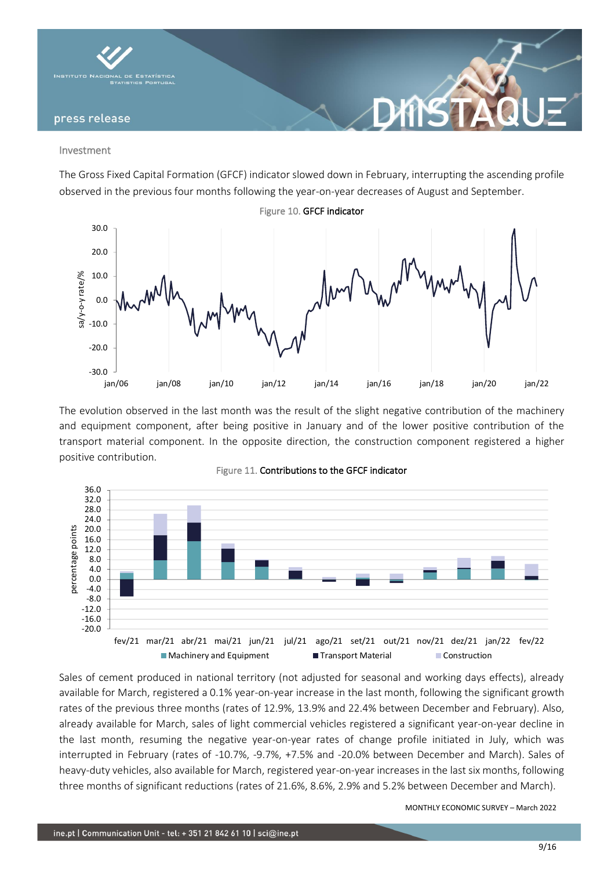

#### Investment

The Gross Fixed Capital Formation (GFCF) indicator slowed down in February, interrupting the ascending profile observed in the previous four months following the year-on-year decreases of August and September.



The evolution observed in the last month was the result of the slight negative contribution of the machinery and equipment component, after being positive in January and of the lower positive contribution of the transport material component. In the opposite direction, the construction component registered a higher positive contribution.



Figure 11. Contributions to the GFCF indicator

Sales of cement produced in national territory (not adjusted for seasonal and working days effects), already available for March, registered a 0.1% year-on-year increase in the last month, following the significant growth rates of the previous three months (rates of 12.9%, 13.9% and 22.4% between December and February). Also, already available for March, sales of light commercial vehicles registered a significant year-on-year decline in the last month, resuming the negative year-on-year rates of change profile initiated in July, which was interrupted in February (rates of -10.7%, -9.7%, +7.5% and -20.0% between December and March). Sales of heavy-duty vehicles, also available for March, registered year-on-year increases in the last six months, following three months of significant reductions (rates of 21.6%, 8.6%, 2.9% and 5.2% between December and March).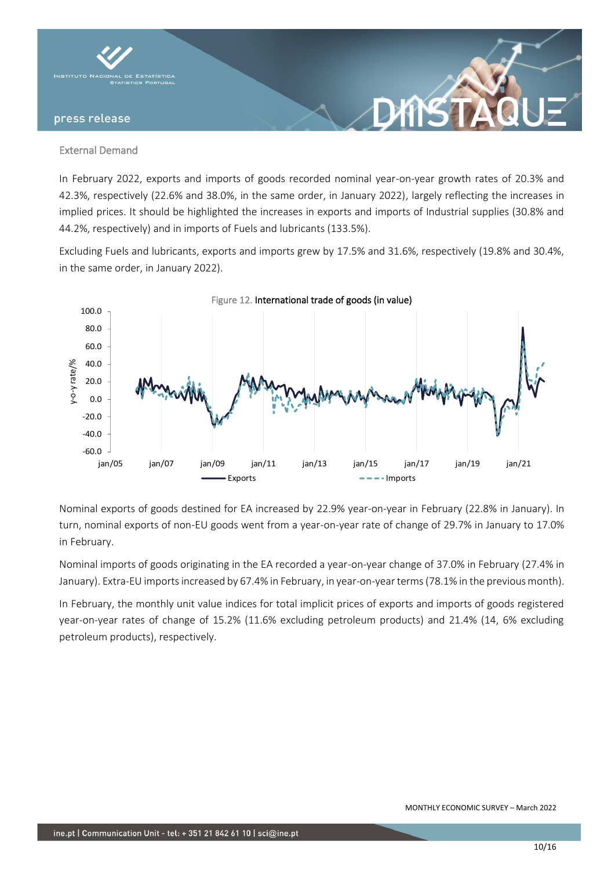

### External Demand

In February 2022, exports and imports of goods recorded nominal year-on-year growth rates of 20.3% and 42.3%, respectively (22.6% and 38.0%, in the same order, in January 2022), largely reflecting the increases in implied prices. It should be highlighted the increases in exports and imports of Industrial supplies (30.8% and 44.2%, respectively) and in imports of Fuels and lubricants (133.5%).

Excluding Fuels and lubricants, exports and imports grew by 17.5% and 31.6%, respectively (19.8% and 30.4%, in the same order, in January 2022).



Nominal exports of goods destined for EA increased by 22.9% year-on-year in February (22.8% in January). In turn, nominal exports of non-EU goods went from a year-on-year rate of change of 29.7% in January to 17.0% in February.

Nominal imports of goods originating in the EA recorded a year-on-year change of 37.0% in February (27.4% in January). Extra-EU imports increased by 67.4% in February, in year-on-year terms (78.1% in the previous month).

In February, the monthly unit value indices for total implicit prices of exports and imports of goods registered year-on-year rates of change of 15.2% (11.6% excluding petroleum products) and 21.4% (14, 6% excluding petroleum products), respectively.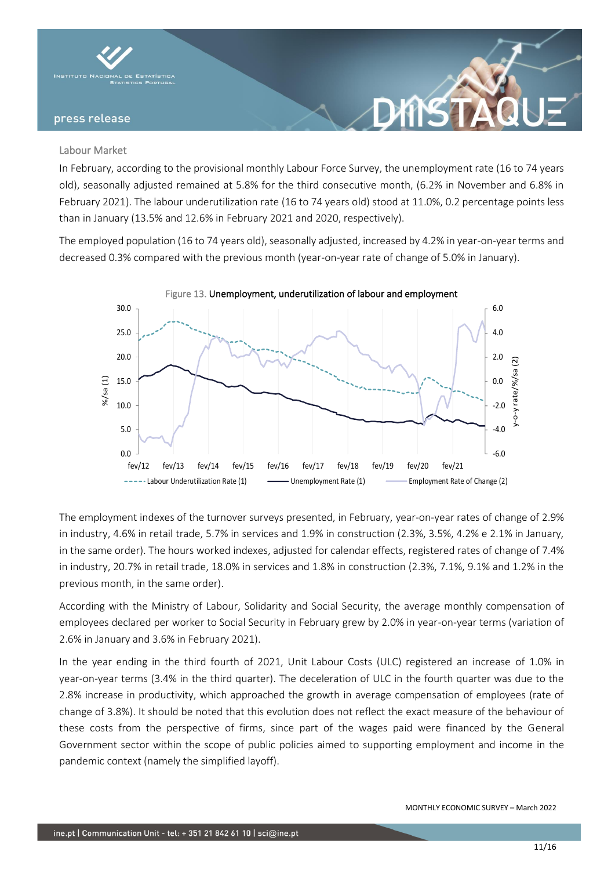

### Labour Market

In February, according to the provisional monthly Labour Force Survey, the unemployment rate (16 to 74 years old), seasonally adjusted remained at 5.8% for the third consecutive month, (6.2% in November and 6.8% in February 2021). The labour underutilization rate (16 to 74 years old) stood at 11.0%, 0.2 percentage points less than in January (13.5% and 12.6% in February 2021 and 2020, respectively).

DYNST

The employed population (16 to 74 years old), seasonally adjusted, increased by 4.2% in year-on-year terms and decreased 0.3% compared with the previous month (year-on-year rate of change of 5.0% in January).



The employment indexes of the turnover surveys presented, in February, year-on-year rates of change of 2.9% in industry, 4.6% in retail trade, 5.7% in services and 1.9% in construction (2.3%, 3.5%, 4.2% e 2.1% in January, in the same order). The hours worked indexes, adjusted for calendar effects, registered rates of change of 7.4% in industry, 20.7% in retail trade, 18.0% in services and 1.8% in construction (2.3%, 7.1%, 9.1% and 1.2% in the previous month, in the same order).

According with the Ministry of Labour, Solidarity and Social Security, the average monthly compensation of employees declared per worker to Social Security in February grew by 2.0% in year-on-year terms (variation of 2.6% in January and 3.6% in February 2021).

In the year ending in the third fourth of 2021, Unit Labour Costs (ULC) registered an increase of 1.0% in year-on-year terms (3.4% in the third quarter). The deceleration of ULC in the fourth quarter was due to the 2.8% increase in productivity, which approached the growth in average compensation of employees (rate of change of 3.8%). It should be noted that this evolution does not reflect the exact measure of the behaviour of these costs from the perspective of firms, since part of the wages paid were financed by the General Government sector within the scope of public policies aimed to supporting employment and income in the pandemic context (namely the simplified layoff).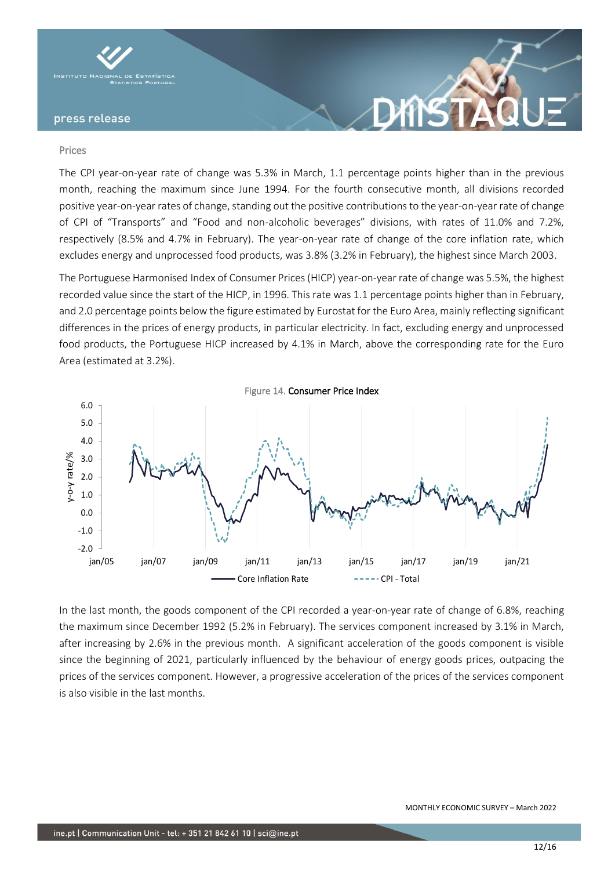

#### Prices

The CPI year-on-year rate of change was 5.3% in March, 1.1 percentage points higher than in the previous month, reaching the maximum since June 1994. For the fourth consecutive month, all divisions recorded positive year-on-year rates of change, standing out the positive contributions to the year-on-year rate of change of CPI of "Transports" and "Food and non-alcoholic beverages" divisions, with rates of 11.0% and 7.2%, respectively (8.5% and 4.7% in February). The year-on-year rate of change of the core inflation rate, which excludes energy and unprocessed food products, was 3.8% (3.2% in February), the highest since March 2003.

The Portuguese Harmonised Index of Consumer Prices (HICP) year-on-year rate of change was 5.5%, the highest recorded value since the start of the HICP, in 1996. This rate was 1.1 percentage points higher than in February, and 2.0 percentage points below the figure estimated by Eurostat for the Euro Area, mainly reflecting significant differences in the prices of energy products, in particular electricity. In fact, excluding energy and unprocessed food products, the Portuguese HICP increased by 4.1% in March, above the corresponding rate for the Euro Area (estimated at 3.2%).



In the last month, the goods component of the CPI recorded a year-on-year rate of change of 6.8%, reaching the maximum since December 1992 (5.2% in February). The services component increased by 3.1% in March, after increasing by 2.6% in the previous month. A significant acceleration of the goods component is visible since the beginning of 2021, particularly influenced by the behaviour of energy goods prices, outpacing the prices of the services component. However, a progressive acceleration of the prices of the services component is also visible in the last months.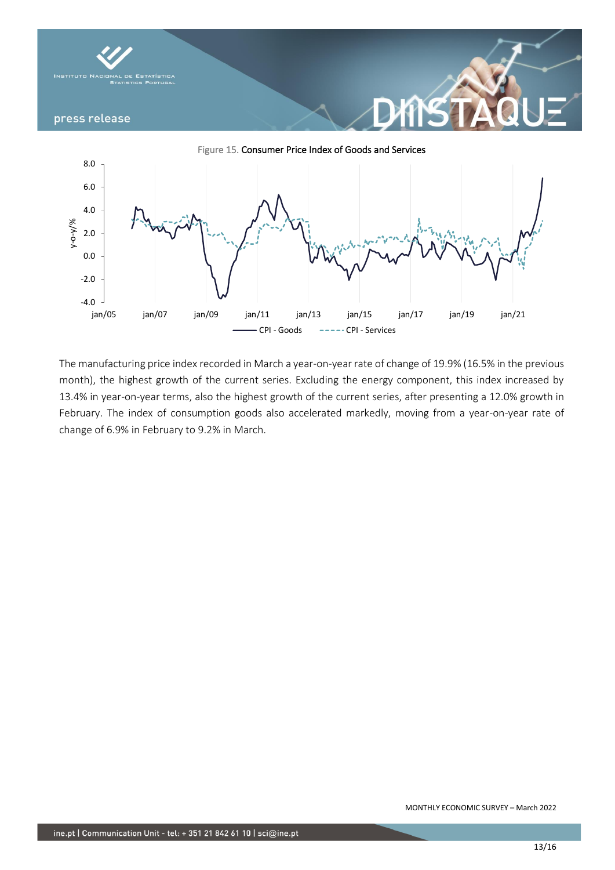

The manufacturing price index recorded in March a year-on-year rate of change of 19.9% (16.5% in the previous month), the highest growth of the current series. Excluding the energy component, this index increased by 13.4% in year-on-year terms, also the highest growth of the current series, after presenting a 12.0% growth in February. The index of consumption goods also accelerated markedly, moving from a year-on-year rate of change of 6.9% in February to 9.2% in March.

jan/05 jan/07 jan/09 jan/11 jan/13 jan/15 jan/17 jan/19 jan/21

CPI - Goods -----CPI - Services

-4.0

-2.0

0.0

2.0

y-o-y/%

4.0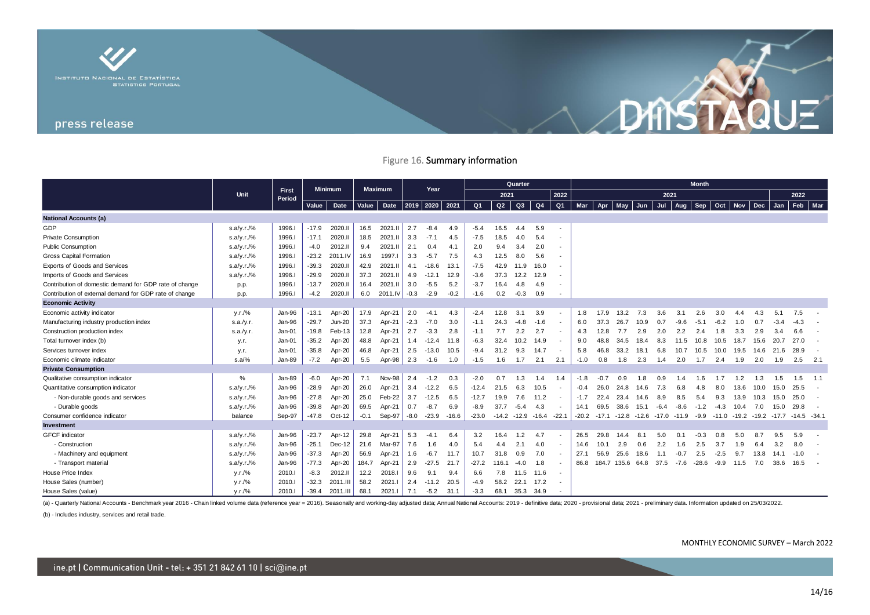

### Figure 16. Summary information

|                                                        |            |                 | <b>Minimum</b> |          | <b>Maximum</b> |            | Year         |         |         | <b>Month</b>   |                            |           |                |                          |         |         |                  |         |         |         |         |            |         |       |         |        |             |
|--------------------------------------------------------|------------|-----------------|----------------|----------|----------------|------------|--------------|---------|---------|----------------|----------------------------|-----------|----------------|--------------------------|---------|---------|------------------|---------|---------|---------|---------|------------|---------|-------|---------|--------|-------------|
|                                                        | Unit       | First<br>Period |                |          |                |            |              |         | 2021    |                |                            | 2022      | 2021           |                          |         |         |                  |         |         | 2022    |         |            |         |       |         |        |             |
|                                                        |            |                 | Value          | Date     | Value<br>Date  |            | 2019<br>2020 |         | 2021    | Q <sub>1</sub> | Q2<br>Q3<br>Q <sub>4</sub> |           | Q <sub>1</sub> | Mar                      | Apr     | May     | Jun              | Jul     | Aug     | Sep     | Oct     | <b>Nov</b> | Dec     | Jan   | Feb     | Mar    |             |
| <b>National Accounts (a)</b>                           |            |                 |                |          |                |            |              |         |         |                |                            |           |                |                          |         |         |                  |         |         |         |         |            |         |       |         |        |             |
| GDP                                                    | s.a/y.r./% | 1996.           | $-17.9$        | 2020.II  | 16.5           | 2021.II    | 2.7          | $-8.4$  | 4.9     | $-5.4$         | 16.5                       | 4.4       | 5.9            | $\blacksquare$           |         |         |                  |         |         |         |         |            |         |       |         |        |             |
| <b>Private Consumption</b>                             | s.a/y.r./% | 1996.           | $-17.1$        | 2020.II  | 18.5           | 2021.II    | 3.3          | $-7.1$  | 4.5     | $-7.5$         | 18.5                       | 4.0       | 5.4            |                          |         |         |                  |         |         |         |         |            |         |       |         |        |             |
| <b>Public Consumption</b>                              | s.a/y.r./% | 1996.           | $-4.0$         | 2012.II  | 9.4            | 2021.I     | 2.1          | 0.4     | 4.1     | 2.0            | 9.4                        | 3.4       | 2.0            | $\blacksquare$           |         |         |                  |         |         |         |         |            |         |       |         |        |             |
| <b>Gross Capital Formation</b>                         | s.a/y.r./% | 1996.           | $-23.2$        | 2011.IV  | 16.9           | 1997.I     | 3.3          | $-5.7$  | 7.5     | 4.3            | 12.5                       | 8.0       | 5.6            | $\overline{\phantom{a}}$ |         |         |                  |         |         |         |         |            |         |       |         |        |             |
| Exports of Goods and Services                          | s.a/y.r./% | 1996.I          | $-39.3$        | 2020.II  | 42.9           | 2021.II    | 4.1          | $-18.6$ | 13.1    | $-7.5$         | 42.9                       | 11.9      | 16.0           | $\overline{\phantom{a}}$ |         |         |                  |         |         |         |         |            |         |       |         |        |             |
| Imports of Goods and Services                          | s.a/y.r./% | 1996.I          | $-29.9$        | 2020.II  | 37.3           | 2021.I     | 4.9          | $-12.1$ | 12.9    | $-3.6$         | 37.3                       | 12.2      | 12.9           |                          |         |         |                  |         |         |         |         |            |         |       |         |        |             |
| Contribution of domestic demand for GDP rate of change | p.p.       | 1996.           | $-13.7$        | 2020.II  | 16.4           | 2021.II    | 3.0          | $-5.5$  | 5.2     | $-3.7$         | 16.4                       | 4.8       | 4.9            | $\blacksquare$           |         |         |                  |         |         |         |         |            |         |       |         |        |             |
| Contribution of external demand for GDP rate of change | p.p.       | 1996.I          | $-4.2$         | 2020.II  | 6.0            | 2011.IV    | $-0.3$       | $-2.9$  | $-0.2$  | $-1.6$         | 0.2                        | $-0.3$    | 0.9            | $\overline{\phantom{a}}$ |         |         |                  |         |         |         |         |            |         |       |         |        |             |
| <b>Economic Activity</b>                               |            |                 |                |          |                |            |              |         |         |                |                            |           |                |                          |         |         |                  |         |         |         |         |            |         |       |         |        |             |
| Economic activity indicator                            | y.r./%     | Jan-96          | $-13.1$        | Apr-20   | 17.9           | Apr-21     | 2.0          | $-4.1$  | 4.3     | $-2.4$         | 12.8                       | 3.1       | 3.9            | $\overline{\phantom{a}}$ | 1.8     | 17.9    | 13.2             | 7.3     | 3.6     | 3.1     | 2.6     | 3.0        | 44      |       | 5.1     | 7.5    |             |
| Manufacturing industry production index                | s.a./y.r.  | Jan-96          | $-29.7$        | Jun-20   | 37.3           | Apr-21     | $-2.3$       | $-7.0$  | 3.0     | $-1.1$         | 24.3                       | $-4.8$    | $-1.6$         |                          | 6.0     | 37.3    | 26.7             | 10.9    | 0.7     | $-9.6$  | $-5.1$  | $-6.2$     | 1.0     | 0.7   | -3.     |        |             |
| Construction production index                          | s.a./v.r.  | Jan-01          | $-19.8$        | Feb-13   | 12.8           | Apr-21     | 2.7          | $-3.3$  | 2.8     | $-1.1$         | 7.7                        | 2.2       | 2.7            | $\sim$                   | 4.3     | 12.8    | 7.7              | 2.9     | 2.0     | 2.2     | 2.4     | 1.8        | 3.3     | 2.9   | 3.4     | 6.6    |             |
| Total turnover index (b)                               | y.r.       | Jan-01          | $-35.2$        | Apr-20   | 48.8           | Apr-21     | 1.4          | $-12.4$ | 11.8    | $-6.3$         | 32.4                       | 10.2      | 14.9           |                          | 9.0     | 48.8    | 34.5             | 18.4    | 8.3     | 11.5    | 10.8    | 10.5       | 18.7    | 15.6  | 20.7    | 27.0   |             |
| Services turnover index                                | y.r.       | Jan-01          | $-35.8$        | Apr-20   | 46.8           | Apr-21     | 2.5          | $-13.0$ | 10.5    | $-9.4$         | 31.2                       | 9.3       | 14.7           |                          | 5.8     | 46.8    | 33.2             | 18.1    | 6.8     | 10.7    | 10.5    | 10.0       | 19.5    | 14.6  | 21.6    | 28.9   |             |
| Economic climate indicator                             | $s.a/\%$   | Jan-89          | $-7.2$         | Apr-20   | 5.5            | Apr-98     | 2.3          | $-1.6$  | 1.0     | $-1.5$         | 1.6                        | 1.7       | 2.1            | 2.1                      | $-1.0$  | 0.8     | 1.8              | 2.3     | 1.4     | 2.0     | 1.7     | 2.4        | 1.9     | 2.0   | 1.9     | 2.5    | 2.1         |
| <b>Private Consumption</b>                             |            |                 |                |          |                |            |              |         |         |                |                            |           |                |                          |         |         |                  |         |         |         |         |            |         |       |         |        |             |
| Qualitative consumption indicator                      | %          | Jan-89          | $-6.0$         | Apr-20   | 7.1            | Nov-98 $ $ | 2.4          | $-1.2$  | 0.3     | $-2.0$         | 0.7                        | 1.3       | 1.4            | 1.4                      | $-1.8$  | $-0.7$  | 0.9              | 1.8     | 0.9     | 1.4     | 1.6     | 1.7        | 1.2     | 1.3   | 1.5     | 1.5    | 1.1         |
| Quantitative consumption indicator                     | s.a/y.r./% | Jan-96          | $-28.9$        | Apr-20   | 26.0           | Apr-21     | 3.4          | $-12.2$ | 6.5     | $-12.4$        | 21.5                       | 6.3       | 10.5           |                          | $-0.4$  | 26.0    | 24.8             | 14.6    | 7.3     | 6.8     | 4.8     | 8.0        | 13.6    | 10.0  | 15.0    | 25.5   |             |
| - Non-durable goods and services                       | s.a/y.r./% | Jan-96          | $-27.8$        | Apr-20   | 25.0           | Feb-22     | 3.7          | $-12.5$ | 6.5     | $-12.7$        | 19.9                       | 7.6       | 11.2           |                          | $-1.7$  | 22.4    | 23.4             | 14.6    | 8.9     | 8.5     | 5.4     | 9.3        | 13.9    | 10.3  | 15.0    | 25.0   |             |
| - Durable goods                                        | s.a/y.r./% | Jan-96          | $-39.8$        | Apr-20   | 69.5           | Apr-21     | 0.7          | $-8.7$  | 6.9     | $-8.9$         | 37.7                       | $-5.4$    | 4.3            |                          | 14.1    | 69.5    | 38.6             | 15.1    | $-6.4$  | $-8.6$  | $-1.2$  | $-4.3$     | 10.4    | 7.0   | 15.0    | 29.8   |             |
| Consumer confidence indicator                          | balance    | Sep-97          | $-47.8$        | Oct-12   | -0.1           | Sep-97     | $-8.0$       | $-23.9$ | $-16.6$ | $-23.0$        | $-14.2$                    | $-12.9$   | $-16.4$        | $-22.1$                  | $-20.2$ | $-17.1$ | -12.8            | $-12.6$ | $-17.0$ | $-11.9$ | $-9.9$  | $-11.0$    | $-19.2$ | -19.2 | $-17.7$ |        | -14.5 -34.1 |
| Investment                                             |            |                 |                |          |                |            |              |         |         |                |                            |           |                |                          |         |         |                  |         |         |         |         |            |         |       |         |        |             |
| <b>GFCF</b> indicator                                  | s.a/y.r./% | Jan-96          | $-23.7$        | Apr-12   | 29.8           | Apr-21     | 5.3          | $-4.1$  | 6.4     | 3.2            | 16.4                       | 1.2       | 4.7            |                          | 26.5    | 29.8    | 14.4             | 8.1     | 5.0     | 0.1     | $-0.3$  | 0.8        | 5.0     | 8.7   | 9.5     | 5.9    |             |
| - Construction                                         | s.a/y.r./% | Jan-96          | $-25.1$        | Dec-12   | 21.6           | Mar-97     | 7.6          | 1.6     | 4.0     | 5.4            | 4.4                        | 2.1       | 4.0            |                          | 14.6    | 10.1    | 2.9              | 0.6     | 2.2     | 1.6     | 2.5     | 3.7        | 1.9     |       | 3.2     | 8.0    |             |
| - Machinery and equipment                              | s.a/y.r./% | Jan-96          | $-37.3$        | Apr-20   | 56.9           | Apr-21     | 1.6          | $-6.7$  | 11.7    | 10.7           | 31.8                       | 0.9       | 7.0            | $\overline{\phantom{a}}$ | 27.1    | 56.9    | 25.6             | 18.6    | 1.1     | $-0.7$  | 2.5     | $-2.5$     | 9.7     | 13.8  | 14.1    | $-1.0$ |             |
| - Transport material                                   | s.a/y.r./% | Jan-96          | $-77.3$        | Apr-20   | 184.7          | Apr-21     | 2.9          | $-27.5$ | 21.7    | $-27.2$        | 116.1                      | $-4.0$    | 1.8            |                          | 86.8    |         | 184.7 135.6 64.8 |         | 37.5    | $-7.6$  | $-28.6$ | $-9.9$     | 11.5    | 7.0   | 38.6    | 16.5   |             |
| House Price Index                                      | y.r./%     | 2010.1          | $-8.3$         | 2012.II  | 12.2           | 2018.I     | 9.6          | 9.1     | 9.4     | 6.6            | 7.8                        | 11.5      | 11.6           | $\overline{\phantom{a}}$ |         |         |                  |         |         |         |         |            |         |       |         |        |             |
| House Sales (number)                                   | V.r./%     | 2010.1          | $-32.3$        | 2011.III | 58.2           | 2021.      | 2.4          | $-11.2$ | 20.5    | $-4.9$         | 58.2                       | 22.1      | 17.2           | $\overline{a}$           |         |         |                  |         |         |         |         |            |         |       |         |        |             |
| House Sales (value)                                    | V.r./%     | 2010.1          | $-39.4$        | 2011.III | 68.1           | 2021.I     | 7.1          | $-5.2$  | 31.1    | $-3.3$         | 68.1                       | 35.3 34.9 |                |                          |         |         |                  |         |         |         |         |            |         |       |         |        |             |

(a) - Quarterly National Accounts - Benchmark year 2016 - Chain linked volume data (reference year = 2016). Seasonally and working-day adjusted data; Annual National Accounts: 2019 - definitive data; 2020 - provisional dat

(b) - Includes industry, services and retail trade.

MONTHLY ECONOMIC SURVEY – March 2022

DANSTAQUE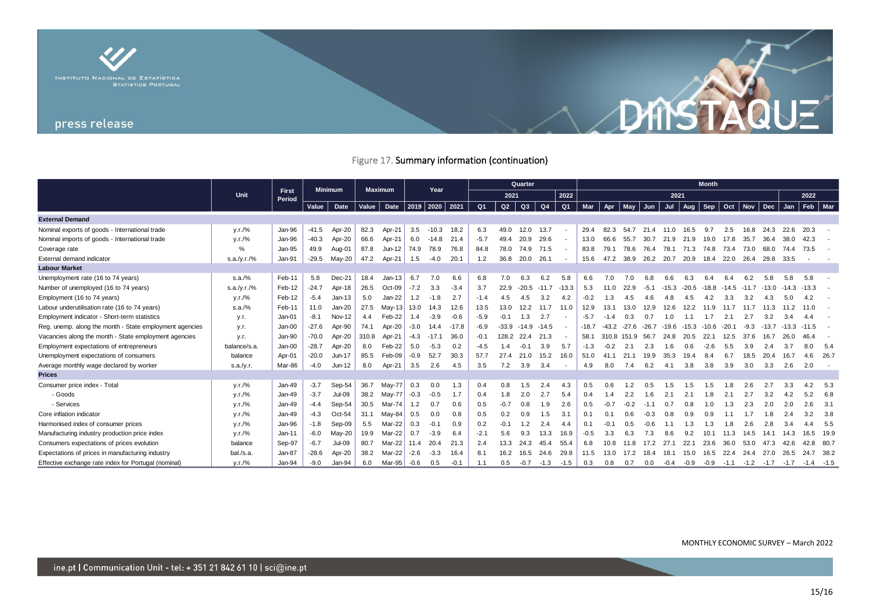

# Figure 17. Summary information (continuation)

|                                                         |              |                        |         | <b>Minimum</b> | <b>Maximum</b> |              | Year   |         |         | <b>Quarter</b> |         |                |                |                |         | <b>Month</b>    |               |         |           |                |         |                 |        |                             |         |             |           |
|---------------------------------------------------------|--------------|------------------------|---------|----------------|----------------|--------------|--------|---------|---------|----------------|---------|----------------|----------------|----------------|---------|-----------------|---------------|---------|-----------|----------------|---------|-----------------|--------|-----------------------------|---------|-------------|-----------|
|                                                         | <b>Unit</b>  | <b>First</b><br>Period |         |                |                |              |        |         |         | 2021           |         |                | 2022           | 2021           |         |                 |               |         |           |                |         |                 | 2022   |                             |         |             |           |
|                                                         |              |                        | Value   | Date           | Value          | Date $ 2019$ |        | 2020    | 2021    | Q <sub>1</sub> | Q2      | Q3             | Q <sub>4</sub> | Q <sub>1</sub> | Mar     | Apr             | May           | Jun     | Jul       | Aug            | Sep     | Oct             |        | Nov $\vert$ Dec $\vert$ Jan |         |             | $Feb$ Mar |
| <b>External Demand</b>                                  |              |                        |         |                |                |              |        |         |         |                |         |                |                |                |         |                 |               |         |           |                |         |                 |        |                             |         |             |           |
| Nominal exports of goods - International trade          | V.r./%       | Jan-96                 | $-41.5$ | Apr-20         | 82.3           | Apr-21       | 3.5    | $-10.3$ | 18.2    | 6.3            | 49.0    | 12.0           | 13.7           |                | 29.4    | 82.3            | 54.7          |         | 21.4 11.0 | 16.5           | 9.7     | 2.5             | 16.8   | 24.3                        | 22.6    | 20.3        |           |
| Nominal imports of goods - International trade          | V.r./%       | Jan-96                 | $-40.3$ | Apr-20         | 66.6           | Apr-21       | 6.0    | $-14.8$ | 21.4    | $-5.7$         | 49.4    | 20.9           | 29.6           |                | 13.0    | 66 6            | 55.7          | 30.7    | 21.9      | 21.9           | 19.0    | 17.8            | 35.7   | 36.4                        | 38.0    | 42.3        |           |
| Coverage rate                                           | %            | Jan-95                 | 49.9    | Aug-01         | 87.8           | $Jun-12$     | 74.9   | 78.9    | 76.8    | 84.8           | 78.0    | 74.9           | 71.5           |                | 83.8    | 79.1            | 78.6          | 76.4    | 78.1      | 71.3           | 74.8    | 73.4            | 73.0   | 68.0                        | 74.4    | 73.5        |           |
| External demand indicator                               | s.a./y.r./%  | Jan-91                 | $-29.5$ | $May-20$       | 47.2           | Apr-21       | 1.5    | $-4.0$  | 20.1    | 1.2            | 36.8    | 20.0           | 26.1           |                | 15.6    | 47.2            | 38.9          | 26.2    | 20.7      | 20.9           | 18.4    | 22.0            | 26.4   | 29.8                        | 33.5    |             |           |
| <b>Labour Market</b>                                    |              |                        |         |                |                |              |        |         |         |                |         |                |                |                |         |                 |               |         |           |                |         |                 |        |                             |         |             |           |
| Unemployment rate (16 to 74 years)                      | s.a./%       | Feb-11                 | 5.8     | Dec-21         | 18.4           | $Jan-13$     | 6.7    | 7.0     | 6.6     | 6.8            | 7.0     | 6.3            | 6.2            | 5.8            | 6.6     | 7.0             | 7.0           | 6.8     | 6.6       | 6.3            | 6.4     | 6.4             | 6.2    | 5 R                         |         | 5.8         |           |
| Number of unemployed (16 to 74 years)                   | s.a./y.r./%  | Feb-12                 | $-24.7$ | Apr-18         | 26.5           | Oct-09       | $-7.2$ | 3.3     | $-3.4$  | 3.7            | 22.9    | $-20.5$        | $-11.7$        | $-13.3$        | 5.3     | 11 $0$          | 22.9          | $-5.1$  | $-15.3$   | $-20.5$        | $-18.8$ | $-14.5$ $-11.7$ |        | $-13.0$                     | $-14.3$ | $-13.3$     |           |
| Employment (16 to 74 years)                             | V.r./%       | Feb-12                 | $-5.4$  | $Jan-13$       | 5.0            | $Jan-22$     | 1.2    | $-1.8$  | 2.7     | $-1.4$         | 4.5     | 4.5            | 3.2            | 4.2            | $-0.2$  | 1.3             |               |         |           | 4.5            | 4.2     | 3.3             | 3.2    | 4.3                         |         |             |           |
| Labour underutilisation rate (16 to 74 years)           | s.a./%       | Feb-11                 | 11.0    | $Jan-20$       | 27.5           | May-13       | 13.0   | 14.3    | 12.6    | 13.5           | 13.0    | 12.2           | 11.7           | 11.0           | 12.9    | 13.1            | 13.0          | 12.9    | 12.6      | 12.2           | 11.9    | 11.7            |        | 11.3                        |         |             |           |
| Employment indicator - Short-term statistics            | y.r.         | Jan-01                 | $-8.1$  | <b>Nov-12</b>  | 4.4            | Feb-22       | 1.4    | $-3.9$  | $-0.6$  | $-5.9$         | $-0.1$  | 1.3            | 2.7            |                | -5.7    |                 | 0.3           | 0.7     | 1.0       |                | 1.7     | 2.1             | 2.7    | 3.2                         |         |             |           |
| Reg. unemp. along the month - State employment agencies | y.r.         | Jan-00                 | $-27.6$ | Apr-90         | 74.1           | Apr-20       | $-3.0$ | 14.4    | $-17.8$ | $-6.9$         | $-33.9$ | $-14.9 - 14.5$ |                |                | $-18.7$ |                 | $-43.2 -27.6$ | $-26.7$ | $-19.6$   | $-15.3 - 10.6$ |         | $-20.1$         | $-9.3$ | $-137$                      | $-13.3$ | $-11.5$     |           |
| Vacancies along the month - State employment agencies   | y.r.         | Jan-90                 | $-70.0$ | Apr-20         | 310.8          | Apr-21       | $-4.3$ | $-17.1$ | 36.0    | $-0.1$         | 128.2   | 22.4           | 21.3           |                | 58.1    |                 | 310.8 151.9   | 56.7    | 24.8      | 20.5           | 22.1    | 12.5            | 37 R   | 16.7                        | 26.0    |             |           |
| Employment expectations of entrepreneurs                | balance/s.a. | Jan-00                 | $-28.7$ | Apr-20         | 8.0            | Feb-22       | 5.0    | $-5.3$  | 0.2     | $-4.5$         | 1.4     |                | 3.9            | 5.7            | $-1.3$  |                 | 2.1           | 2.3     | 1.6       | 0.6            | $-2.6$  | 5.5             | 3.9    |                             | 3.7     |             | - 5.4     |
| Unemployment expectations of consumers                  | balance      | Apr-01                 | $-20.0$ | $Jun-17$       | 85.5           | Feb-09       | $-0.9$ | 52.7    | 30.3    | 57.7           | 27.4    | 21.0           | 15.2           | 16.0           | 51.0    | 41 <sup>1</sup> | 21.1          | 19.9    | 35.3      | 19.4           | 8.4     | 6.7             | 18.5   | 20.4                        | 16.7    |             | 26.7      |
| Average monthly wage declared by worker                 | s.a./v.r.    | Mar-86                 | $-4.0$  | Jun-12         | 8.0            | Apr-21       | 3.5    | 2.6     | 4.5     | 3.5            | 7.2     | 3.9            | 3.4            |                | 4.9     | 8.0             | 7.4           | 6.2     | 4.1       | 3.8            | 3.8     | 3.9             | 3.0    | 3.3                         | 2.6     | 2.0         |           |
| <b>Prices</b>                                           |              |                        |         |                |                |              |        |         |         |                |         |                |                |                |         |                 |               |         |           |                |         |                 |        |                             |         |             |           |
| Consumer price index - Total                            | y.r./%       | $Jan-49$               | $-3.7$  | Sep-54         | 36.7           | May-77       | 0.3    | 0.0     | 1.3     | 0.4            | 0.8     |                | 2.4            | 4.3            | 0.5     | 0.6             |               |         |           |                |         |                 |        |                             |         |             | 5.3       |
| - Goods                                                 | V.r./%       | Jan-49                 | $-3.7$  | <b>Jul-09</b>  | 38.2           | May-77       | $-0.3$ | $-0.5$  | 1.7     | 0.4            | 1.8     | 2.0            | 2.7            | 5.4            | 0.4     | 1.4             | 2.2           | 1.6     | 2.1       | 2.1            | 1.8     | 2.1             |        | 3.2                         | 4.2     | 5.2         | 6.8       |
| - Services                                              | y.r./%       | $Jan-49$               | $-4.4$  | Sep-54         | 30.5           | Mar-74       | 1.2    | 0.7     | 0.6     | 0.5            | $-0.7$  | 0.8            | 1.9            | 2.6            | 0.5     | -0.7            | $-0.2$        | $-11$   | 0.7       | 0.8            | 1.0     | 1.3             | 2.3    | 2.0                         | 2.0     |             | 3.1       |
| Core inflation indicator                                | V.r./%       | $Jan-49$               | $-4.3$  | Oct-54         | 31.1           | May-84       | 0.5    | 0.0     | 0.8     | 0.5            | 0.2     | 0.9            | 1.5            | 3.1            |         |                 | 0.6           | $-0.3$  | 0.8       | 0.9            | 0.9     |                 |        | ∣.8                         | 2.4     |             | 3.8       |
| Harmonised index of consumer prices                     | V.r./%       | Jan-96                 | $-1.8$  | Sep-09         | 5.5            | Mar-22       | 0.3    | $-0.1$  | 0.9     | 0.2            | $-0.1$  |                | 2.4            | 4.4            |         | -0.1            | 0.5           | -0.6    |           | 1.3            | 1.3     |                 |        | 2.8                         | 3.4     |             | 5.5       |
| Manufacturing industry production price index           | y.r./%       | Jan-11                 | $-6.0$  | May-20         | 19.9           | Mar-22       | 0.7    | $-3.9$  | 6.4     | $-2.1$         | 5.6     | 9.3            | 13.3           | 16.9           | -0.5    | 3.3             | 6.3           | 7.3     | 8.6       | 9.2            | 10.1    | 11.3            | 14.5   |                             | 14.3    | 16.5        | 19.9      |
| Consumers expectations of prices evolution              | balance      | Sep-97                 | $-6.7$  | <b>Jul-09</b>  | 80.7           | Mar-22       | 11.4   | 20.4    | 21.3    | 2.4            | 13.3    | 24.3           | 45.4           | 55.4           | 6.8     | 10.8            | 11.8          | 17.2    | 27.1      | 22.1           | 23.6    | 36.0            | 53.0   | 47.3                        | 42.6    |             | 42.8 80.7 |
| Expectations of prices in manufacturing industry        | bal./s.a.    | Jan-87                 | $-28.6$ | Apr-20         | 38.2           | Mar-22       | $-2.6$ | $-3.3$  | 16.4    | 8.1            | 16.2    | 16.5           | 246            | 29.8           | 11.5    | 13 $0$          | 17.2          | 18.4    | 18.1      | 15.0           | 16.5    | 22.4            | 244    | 27.0                        | 26.5    | 24.7        | - 38.2    |
| Effective exchange rate index for Portugal (nominal)    | V.r./%       | Jan-94                 | $-9.0$  | Jan-94         | 6.0            | Mar-95       | $-0.6$ | 0.5     | $-0.1$  | 1.1            | 0.5     | $-0.7$         | $-1.3$         | $-1.5$         | 0.3     | 0.8             | 0.7           | 0.0     | $-0.4$    | -0.9           | $-0.9$  |                 |        | $-1.1$ $-1.2$ $-1.7$ $-1.7$ |         | $-1.4 -1.5$ |           |

DANSTAQUE